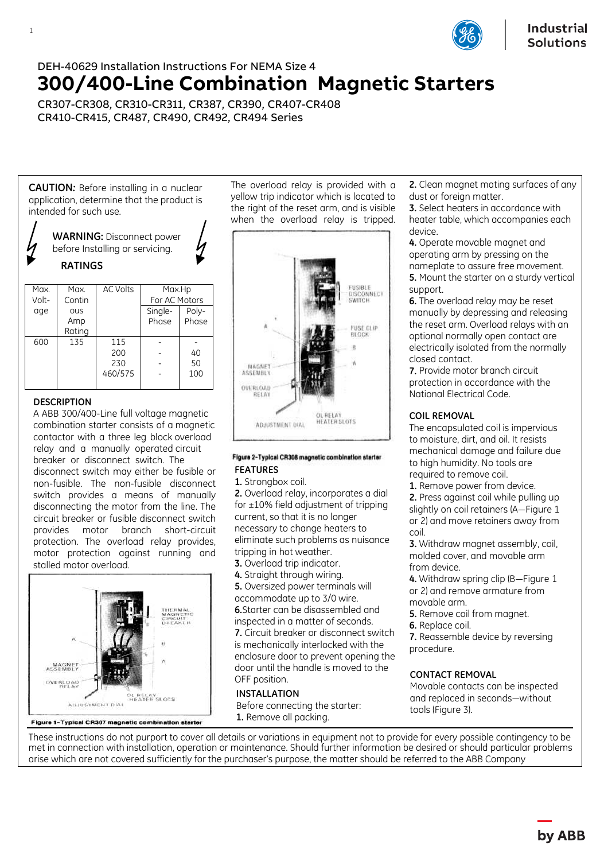

# DEH-40629 Installation Instructions For NEMA Size 4 **300/400-Line Combination Magnetic Starters**

CR307-CR308, CR310-CR311, CR387, CR390, CR407-CR408 CR410-CR415, CR487, CR490, CR492, CR494 Series

**CAUTION***:* Before installing in a nuclear application, determine that the product is intended for such use.



| Max.  | Max.   | AC Volts | Max.Hp        |       |
|-------|--------|----------|---------------|-------|
| Volt- | Contin |          | For AC Motors |       |
| age   | OUS    |          | Single-       | Poly- |
|       | Amp    |          | Phase         | Phase |
|       | Rating |          |               |       |
| 600   | 135    | 115      |               |       |
|       |        | 200      |               | 40    |
|       |        | 230      |               | 50    |
|       |        | 460/575  |               | 100   |
|       |        |          |               |       |

## **DESCRIPTION**

1

A ABB 300/400-Line full voltage magnetic combination starter consists of a magnetic contactor with a three leg block overload relay and a manually operated circuit breaker or disconnect switch. The disconnect switch may either be fusible or non-fusible. The non-fusible disconnect switch provides a means of manually disconnecting the motor from the line. The circuit breaker or fusible disconnect switch provides motor branch short-circuit protection. The overload relay provides, motor protection against running and stalled motor overload.



The overload relay is provided with a yellow trip indicator which is located to the right of the reset arm, and is visible when the overload relay is tripped.



#### Figure 2-Typical CR308 magnetic combination starter **FEATURES**

## **1.** Strongbox coil.

 tripping in hot weather. **2.** Overload relay, incorporates a dial for  $\pm 10\%$  field adjustment of tripping current, so that it is no longer necessary to change heaters to eliminate such problems as nuisance

**3.** Overload trip indicator.

**4.** Straight through wiring.

**5.** Oversized power terminals will accommodate up to 3/0 wire. **6.**Starter can be disassembled and inspected in a matter of seconds. **7.** Circuit breaker or disconnect switch is mechanically interlocked with the enclosure door to prevent opening the door until the handle is moved to the OFF position.

#### **INSTALLATION**

Before connecting the starter: **1.** Remove all packing.

**2.** Clean magnet mating surfaces of any dust or foreign matter.

**3.** Select heaters in accordance with heater table, which accompanies each device.

**4.** Operate movable magnet and operating arm by pressing on the nameplate to assure free movement. **5.** Mount the starter on a sturdy vertical support.

**6.** The overload relay may be reset manually by depressing and releasing the reset arm. Overload relays with an optional normally open contact are electrically isolated from the normally closed contact.

**7.** Provide motor branch circuit protection in accordance with the National Electrical Code.

## **COIL REMOVAL**

The encapsulated coil is impervious to moisture, dirt, and oil. It resists mechanical damage and failure due to high humidity. No tools are required to remove coil.

**1.** Remove power from device.

**2.** Press against coil while pulling up slightly on coil retainers (A—Figure 1 or 2) and move retainers away from coil.

**3.** Withdraw magnet assembly, coil, molded cover, and movable arm from device.

**4.** Withdraw spring clip (B-Figure 1) or 2) and remove armature from movable arm.

- **5.** Remove coil from magnet.
- **6.** Replace coil.

**7.** Reassemble device by reversing procedure.

## **CONTACT REMOVAL**

Movable contacts can be inspected and replaced in seconds—without tools (Figure 3).

These instructions do not purport to cover all details or variations in equipment not to provide for every possible contingency to be met in connection with installation, operation or maintenance. Should further information be desired or should particular problems arise which are not covered sufficiently for the purchaser's purpose, the matter should be referred to the ABB Company